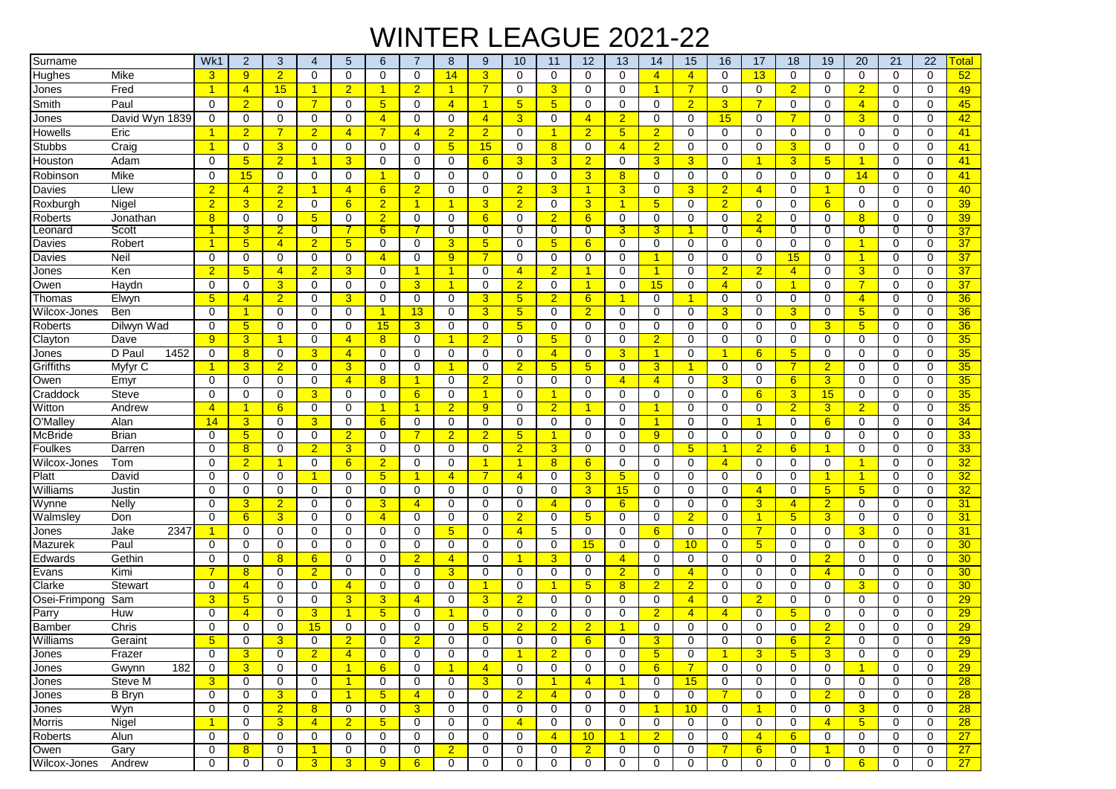## WINTER LEAGUE 2021-22

| Surname        |                | Wk1                  | $\overline{2}$   | 3              | 4                    | 5                    | 6               | $\overline{7}$       | 8                    | 9              | 10              | 11                   | 12                   | 13                   | 14                   | 15              | 16             | 17                   | 18              | 19              | 20              | 21          | 22          | <b>Total</b>    |
|----------------|----------------|----------------------|------------------|----------------|----------------------|----------------------|-----------------|----------------------|----------------------|----------------|-----------------|----------------------|----------------------|----------------------|----------------------|-----------------|----------------|----------------------|-----------------|-----------------|-----------------|-------------|-------------|-----------------|
| Hughes         | Mike           | 3                    | 9                | $\overline{2}$ | $\mathbf 0$          | 0                    | 0               | $\mathbf 0$          | 14                   | 3              | $\mathbf 0$     | $\mathbf 0$          | $\Omega$             | $\mathbf 0$          | $\overline{4}$       | $\overline{4}$  | $\mathbf 0$    | 13                   | $\mathbf 0$     | $\mathbf 0$     | $\mathbf 0$     | $\mathbf 0$ | $\mathbf 0$ | 52              |
| Jones          | Fred           | $\mathbf{1}$         | $\overline{4}$   | 15             | $\mathbf{1}$         | $\overline{2}$       | 1               | $\overline{2}$       | $\mathbf{1}$         | $\overline{7}$ | $\mathbf 0$     | 3                    | 0                    | $\mathbf 0$          | $\mathbf{1}$         | $\overline{7}$  | 0              | $\mathbf 0$          | $\overline{2}$  | $\mathbf 0$     | $\overline{2}$  | $\mathbf 0$ | $\mathbf 0$ | 49              |
| Smith          | Paul           | $\Omega$             | $\overline{2}$   | 0              | $\overline{7}$       | 0                    | 5               | $\Omega$             | $\overline{4}$       | 1              | $5\phantom{.0}$ | 5 <sup>5</sup>       | $\Omega$             | $\mathbf 0$          | $\mathbf 0$          | $\overline{2}$  | 3              | $\overline{7}$       | 0               | 0               | $\overline{4}$  | 0           | 0           | 45              |
| Jones          | David Wyn 1839 | 0                    | $\mathbf 0$      | $\mathbf 0$    | 0                    | $\Omega$             | $\overline{4}$  | $\Omega$             | $\mathbf 0$          | $\overline{4}$ | $\overline{3}$  | $\mathbf 0$          | $\overline{4}$       | $\overline{2}$       | $\Omega$             | 0               | 15             | $\mathbf 0$          | $\overline{7}$  | $\Omega$        | 3               | $\Omega$    | $\Omega$    | 42              |
| Howells        | Eric           | $\blacktriangleleft$ | $\overline{2}$   | $\overline{7}$ | $\overline{2}$       | $\overline{4}$       | $\overline{7}$  | $\overline{4}$       | $\overline{2}$       | $\overline{2}$ | $\mathbf 0$     | $\blacktriangleleft$ | $\overline{2}$       | $5\overline{)}$      | $\overline{2}$       | 0               | $\Omega$       | $\mathbf 0$          | $\mathbf 0$     | $\Omega$        | $\mathbf 0$     | 0           | $\mathbf 0$ | 41              |
| Stubbs         | Craig          | $\overline{1}$       | 0                | 3              | $\mathbf 0$          | 0                    | $\mathbf 0$     | $\mathbf 0$          | 5 <sub>5</sub>       | 15             | 0               | 8 <sup>2</sup>       | 0                    | $\overline{4}$       | $\overline{2}$       | 0               | 0              | $\mathbf 0$          | 3               | $\mathbf 0$     | $\mathbf 0$     | $\mathbf 0$ | $\mathbf 0$ | 41              |
| Houston        | Adam           | $\mathbf 0$          | 5 <sub>5</sub>   | $\overline{2}$ | $\mathbf{1}$         | 3                    | 0               | $\mathbf 0$          | $\mathbf 0$          | 6              | 3               | 3                    | $\overline{2}$       | $\mathbf 0$          | $\overline{3}$       | 3               | 0              | 1                    | 3               | $5\phantom{.0}$ | 1               | 0           | $\mathbf 0$ | 41              |
| Robinson       | Mike           | $\mathbf 0$          | 15               | $\mathbf 0$    | $\mathbf 0$          | 0                    |                 | 0                    | 0                    | 0              | $\mathbf 0$     | $\mathbf 0$          | 3                    | 8                    | $\mathbf 0$          | 0               | 0              | $\mathbf 0$          | $\mathbf 0$     | $\mathbf 0$     | 14              | 0           | 0           | 41              |
| Davies         | Llew           | $\overline{2}$       | $\overline{4}$   | $\overline{2}$ | $\blacktriangleleft$ | $\overline{4}$       | 6               | $\overline{2}$       | $\mathbf 0$          | 0              | $\overline{2}$  | 3                    | $\blacktriangleleft$ | 3                    | $\mathbf 0$          | 3 <sup>5</sup>  | $\overline{2}$ | $\overline{4}$       | 0               | $\overline{1}$  | 0               | $\mathbf 0$ | $\mathbf 0$ | 40              |
| Roxburgh       | Nigel          | $\overline{2}$       | 3                | $\overline{2}$ | $\mathbf 0$          | 6                    | $\overline{2}$  | $\blacktriangleleft$ | $\mathbf{1}$         | 3              | $\overline{2}$  | $\mathbf 0$          | 3                    | $\overline{1}$       | 5 <sup>5</sup>       | 0               | $\overline{2}$ | $\mathbf 0$          | $\Omega$        | 6               | $\mathbf 0$     | $\mathbf 0$ | $\mathbf 0$ | 39              |
| Roberts        | Jonathan       | 8                    | 0                | 0              | 5 <sub>5</sub>       | 0                    | $\overline{2}$  | 0                    | 0                    | 6              | $\mathbf 0$     | $\overline{2}$       | 6                    | $\mathbf 0$          | 0                    | 0               | 0              | $\overline{2}$       | 0               | 0               | 8               | 0           | 0           | 39              |
| _eonard        | Scott          | 1                    | 3                | 2              | 0                    |                      | 6.              |                      | $\overline{0}$       | O              | 0               | 0                    | 0                    | 3                    | 3                    |                 | 0              | $\overline{4}$       | 0               | 0               | 0               | 0           | 0           | 37              |
| Davies         | Robert         | $\blacktriangleleft$ | 5 <sup>5</sup>   | $\overline{4}$ | $\overline{2}$       | 5 <sub>5</sub>       | 0               | 0                    | 3                    | 5              | $\Omega$        | 5                    | 6                    | $\mathbf 0$          | $\mathbf 0$          | 0               | $\Omega$       | $\mathbf 0$          | $\Omega$        | $\Omega$        | 1               | $\Omega$    | $\Omega$    | 37              |
| Davies         | Neil           | 0                    | 0                | 0              | 0                    | 0                    | $\overline{4}$  | 0                    | 9                    | 7              | $\mathbf 0$     | 0                    | 0                    | 0                    | $\blacktriangleleft$ | 0               | 0              | 0                    | 15              | 0               | $\mathbf{1}$    | 0           | 0           | 37              |
| Jones          | Ken            | $\overline{2}$       | 5                | $\overline{4}$ | $\overline{2}$       | 3                    | 0               | -1                   | $\mathbf{1}$         | 0              | $\overline{4}$  | $\overline{2}$       |                      | 0                    | $\mathbf{1}$         | 0               | $\overline{2}$ | $\overline{2}$       | $\overline{4}$  | 0               | 3               | 0           | $\Omega$    | 37              |
| Owen           | Haydn          | 0                    | 0                | $\overline{3}$ | 0                    | $\mathbf 0$          | 0               | 3                    | $\overline{1}$       | 0              | $\overline{2}$  | $\mathbf 0$          | $\overline{1}$       | $\mathbf 0$          | 15                   | 0               | $\overline{4}$ | $\mathbf 0$          | -1              | $\mathbf 0$     | $\overline{7}$  | $\mathbf 0$ | $\mathbf 0$ | 37              |
| Thomas         | Elwyn          | 5                    | $\overline{4}$   | $\overline{2}$ | 0                    | 3                    | 0               | 0                    | 0                    | 3              | 5 <sup>5</sup>  | $\overline{2}$       | 6                    | $\blacktriangleleft$ | 0                    | 1               | 0              | $\mathbf 0$          | 0               | $\mathbf 0$     | $\overline{4}$  | $\mathbf 0$ | $\mathbf 0$ | 36              |
| Wilcox-Jones   | Ben            | $\mathbf 0$          | $\mathbf{1}$     | $\mathbf 0$    | $\mathbf 0$          | 0                    |                 | 13                   | $\mathbf 0$          | 3              | 5 <sub>5</sub>  | $\mathbf 0$          | $\overline{2}$       | 0                    | 0                    | 0               | 3              | $\mathbf 0$          | 3               | $\mathbf 0$     | 5 <sub>5</sub>  | 0           | $\Omega$    | 36              |
| Roberts        | Dilwyn Wad     | $\mathbf 0$          | 5 <sub>5</sub>   | 0              | 0                    | 0                    | 15              | 3                    | $\mathbf 0$          | 0              | 5 <sub>5</sub>  | $\mathbf 0$          | 0                    | $\mathbf 0$          | 0                    | 0               | 0              | 0                    | 0               | 3               | $5\overline{)}$ | 0           | $\mathbf 0$ | 36              |
| Clayton        | Dave           | 9                    | 3                | -1             | 0                    | $\overline{4}$       | 8               | 0                    | $\mathbf 1$          | $\overline{2}$ | $\mathbf 0$     | 5                    | $\Omega$             | $\mathbf 0$          | $\overline{2}$       | 0               | 0              | $\mathbf 0$          | $\Omega$        | 0               | 0               | 0           | 0           | 35              |
| Jones          | D Pau<br>1452  | 0                    | 8                | 0              | 3                    | $\overline{4}$       | 0               | 0                    | 0                    | 0              | 0               | $\overline{4}$       | $\Omega$             | 3                    | $\overline{1}$       | 0               | 1              | 6                    | $5\phantom{.0}$ | 0               | 0               | 0           | 0           | 35              |
| Griffiths      | Myfyr C        | -1                   | 3                | $\overline{2}$ | 0                    | 3                    | 0               | 0                    | $\mathbf 1$          | 0              | $\overline{2}$  | 5 <sup>5</sup>       | 5                    | $\mathbf 0$          | 3                    | 1               | 0              | $\mathbf 0$          | 7               | $\overline{2}$  | 0               | 0           | 0           | 35              |
| Owen           | Emyr           | 0                    | 0                | $\mathbf 0$    | 0                    | $\overline{4}$       | 8               | $\blacktriangleleft$ | 0                    | $\overline{2}$ | $\mathbf 0$     | $\mathbf 0$          | 0                    | $\overline{4}$       | $\overline{4}$       | 0               | 3              | $\mathbf 0$          | 6               | 3               | 0               | $\mathbf 0$ | $\mathbf 0$ | 35              |
| Craddock       | <b>Steve</b>   | $\mathbf 0$          | 0                | $\mathbf 0$    | 3                    | 0                    | $\mathbf 0$     | 6                    | $\mathbf 0$          | 1              | $\mathbf 0$     | $\blacktriangleleft$ | 0                    | $\mathbf 0$          | $\mathbf 0$          | 0               | $\mathbf 0$    | 6                    | 3               | 15              | $\mathbf 0$     | $\mathbf 0$ | $\mathbf 0$ | 35              |
| Witton         | Andrew         | $\overline{4}$       | $\mathbf{1}$     | 6              | 0                    | 0                    | 1               | $\blacktriangleleft$ | $\overline{2}$       | 9              | 0               | $\overline{2}$       | 1                    | $\mathbf 0$          | $\mathbf{1}$         | 0               | 0              | 0                    | $\overline{2}$  | 3               | $\overline{2}$  | 0           | $\mathbf 0$ | 35              |
| O'Malley       | Alan           | 14                   | 3 <sup>5</sup>   | $\mathbf 0$    | 3                    | 0                    | 6               | 0                    | $\mathbf 0$          | 0              | 0               | 0                    | 0                    | 0                    | $\mathbf{1}$         | 0               | 0              | -1                   | 0               | 6               | 0               | 0           | 0           | 34              |
| <b>McBride</b> | <b>Brian</b>   | 0                    | 5 <sub>5</sub>   | $\mathbf 0$    | $\mathbf 0$          | $\overline{2}$       | $\mathbf 0$     | $\overline{7}$       | $\overline{2}$       | $\overline{2}$ | 5 <sub>5</sub>  | $\blacktriangleleft$ | $\Omega$             | $\mathbf 0$          | 9                    | 0               | 0              | $\mathbf 0$          | $\mathbf 0$     | 0               | $\mathbf 0$     | 0           | $\mathbf 0$ | 33              |
| Foulkes        | Darren         | $\mathbf 0$          | $\overline{8}$   | $\mathbf 0$    | $\overline{2}$       | 3                    | 0               | $\mathbf 0$          | $\mathbf 0$          | 0              | $\overline{2}$  | 3                    | 0                    | $\mathbf 0$          | $\mathbf 0$          | 5               | -1             | $\overline{2}$       | 6               | -1              | $\mathbf 0$     | 0           | $\Omega$    | 33              |
| Wilcox-Jones   | Tom            | 0                    | $\overline{2}$   | 1              | 0                    | 6                    | 2               | 0                    | 0                    | 1              | $\overline{1}$  | 8 <sup>2</sup>       | 6                    | 0                    | 0                    | 0               | $\overline{4}$ | $\mathbf 0$          | 0               | 0               | $\mathbf{1}$    | 0           | $\mathbf 0$ | 32              |
| Platt          | David          | 0                    | 0                | 0              | -1                   | $\Omega$             | $5\phantom{.0}$ | -1                   | $\overline{4}$       | 7              | $\overline{4}$  | $\mathbf 0$          | 3                    | $5\overline{)}$      | $\mathbf 0$          | 0               | $\Omega$       | 0                    | 0               | -1              | $\mathbf{1}$    | 0           | 0           | 32              |
| Williams       | Justin         | $\Omega$             | 0                | 0              | 0                    | 0                    | 0               | 0                    | 0                    | 0              | 0               | $\mathbf 0$          | 3                    | 15                   | $\mathbf 0$          | 0               | 0              | $\overline{4}$       | 0               | $5\overline{)}$ | 5 <sub>5</sub>  | 0           | 0           | 32              |
| Wynne          | Nelly          | 0                    | 3                | $\overline{2}$ | 0                    | 0                    | 3               | $\overline{4}$       | 0                    | 0              | $\mathbf 0$     | $\overline{4}$       | 0                    | 6                    | $\mathbf 0$          | 0               | 0              | $\overline{3}$       | $\overline{4}$  | $\overline{2}$  | 0               | 0           | 0           | 31              |
| Walmsley       | Don            | $\mathbf 0$          | $6 \overline{6}$ | 3              | 0                    | 0                    | $\overline{4}$  | 0                    | 0                    | 0              | $\overline{2}$  | 0                    | $5\overline{)}$      | 0                    | 0                    | $\overline{2}$  | 0              | $\blacktriangleleft$ | $5\phantom{.0}$ | 3               | 0               | 0           | $\mathbf 0$ | 31              |
| Jones          | Jake<br>2347   | 1                    | 0                | 0              | 0                    | 0                    | 0               | 0                    | 5                    | 0              | $\overline{4}$  | 5                    | 0                    | $\mathbf 0$          | 6                    | 0               | 0              | $\overline{7}$       | 0               | $\mathbf 0$     | 3               | $\mathbf 0$ | $\mathbf 0$ | 31              |
| Mazurek        | Paul           | $\mathbf 0$          | 0                | 0              | $\mathbf 0$          | 0                    | 0               | $\mathbf 0$          | $\mathbf 0$          | 0              | 0               | $\mathbf 0$          | 15                   | 0                    | $\mathbf 0$          | 10              | 0              | $5\overline{)}$      | $\mathbf 0$     | $\mathbf 0$     | $\mathbf 0$     | 0           | $\Omega$    | 30              |
| Edwards        | Gethin         | $\mathbf 0$          | 0                | 8              | 6                    | 0                    | 0               | $\overline{2}$       | $\overline{4}$       | 0              | -1              | 3                    | 0                    | $\overline{4}$       | 0                    | 0               | 0              | $\mathbf 0$          | 0               | $\overline{2}$  | $\mathbf 0$     | 0           | $\Omega$    | 30 <sub>o</sub> |
| Evans          | Kimi           | 7                    | 8                | 0              | $\overline{2}$       | 0                    | 0               | 0                    | 3                    | 0              | $\mathbf 0$     | $\mathbf 0$          | 0                    | $\overline{2}$       | $\mathbf 0$          | $\overline{4}$  | 0              | 0                    | 0               | $\overline{4}$  | 0               | 0           | 0           | 30 <sub>o</sub> |
| Clarke         | <b>Stewart</b> | 0                    | $\overline{4}$   | 0              | 0                    | $\overline{4}$       | 0               | 0                    | $\Omega$             | 1              | 0               | $\blacktriangleleft$ | 5                    | 8                    | $\overline{2}$       | $\overline{2}$  | $\Omega$       | $\mathbf 0$          | $\Omega$        | $\Omega$        | 3               | $\Omega$    | $\Omega$    | 30 <sub>o</sub> |
| Osei-Frimpong  | Sam            | 3                    | 5 <sub>5</sub>   | $\mathbf 0$    | 0                    | 3                    | 3               | $\overline{4}$       | 0                    | 3              | $\overline{2}$  | 0                    | 0                    | 0                    | 0                    | $\overline{4}$  | 0              | $\overline{2}$       | 0               | 0               | $\mathbf 0$     | $\mathbf 0$ | 0           | 29              |
| Parry          | Huw            | 0                    | $\overline{4}$   | 0              | 3                    | $\blacktriangleleft$ | $5\phantom{.0}$ | 0                    | $\mathbf 1$          | 0              | 0               | 0                    | $\Omega$             | 0                    | $\overline{2}$       | $\overline{4}$  | $\overline{4}$ | $\mathbf 0$          | 5               | 0               | 0               | 0           | $\mathbf 0$ | 29              |
| Bamber         | Chris          | 0                    | 0                | 0              | 15                   | 0                    | 0               | $\Omega$             | 0                    | 5              | $\overline{2}$  | $\overline{2}$       | $\overline{2}$       | 1                    | $\mathbf 0$          | 0               | 0              | $\mathbf 0$          | $\Omega$        | $\overline{2}$  | 0               | 0           | 0           | 29              |
| Williams       | Geraint        | 5                    | 0                | 3              | $\Omega$             | $\overline{2}$       | 0               | $\overline{2}$       | $\Omega$             | $\Omega$       | $\mathbf 0$     | $\Omega$             | 6                    | 0                    | 3                    | $\Omega$        | $\Omega$       | $\Omega$             | 6               | $\overline{2}$  | 0               | 0           | $\Omega$    | 29              |
| Jones          | Frazer         | 0                    | 3                | 0              | $\overline{2}$       | $\overline{4}$       | 0               | 0                    | 0                    | 0              | -1              | $\overline{2}$       | 0                    | 0                    | $5^{\circ}$          | 0               | $\mathbf{1}$   | $\overline{3}$       | $5\overline{)}$ | 3               | 0               | 0           | 0           | 29              |
| Jones          | 182<br>Gwynn   | 0                    | 3 <sup>5</sup>   | 0              | 0                    | $\mathbf{1}$         | 6               | 0                    | $\blacktriangleleft$ | 4              | 0               | $\mathbf 0$          | 0                    | 0                    | 6                    | $\overline{7}$  | $\mathbf 0$    | $\mathbf 0$          | 0               | 0               | $\mathbf{1}$    | 0           | $\mathbf 0$ | 29              |
| Jones          | Steve M        | 3                    | $\mathbf 0$      | 0              | $\mathbf 0$          | $\mathbf{1}$         | 0               | $\mathbf 0$          | $\mathbf 0$          | 3 <sup>5</sup> | 0               | $\mathbf{1}$         | $\overline{4}$       | $\blacktriangleleft$ | $\mathbf 0$          | 15              | 0              | $\mathbf 0$          | 0               | $\mathbf 0$     | 0               | $\mathbf 0$ | 0           | $\overline{28}$ |
| Jones          | <b>B</b> Bryn  | $\mathbf 0$          | 0                | $\overline{3}$ | 0                    | $\mathbf{1}$         | 5 <sub>5</sub>  | $\overline{4}$       | 0                    | 0              | $\overline{2}$  | $\overline{4}$       | 0                    | 0                    | $\mathbf 0$          | 0               | $\overline{7}$ | $\mathbf 0$          | 0               | $\overline{2}$  | 0               | 0           | 0           | 28              |
| Jones          | Wyn            | 0                    | 0                | $\overline{2}$ | 8 <sup>2</sup>       | 0                    | 0               | 3 <sup>5</sup>       | 0                    | 0              | 0               | $\mathbf 0$          | 0                    | 0                    | $\mathbf{1}$         | 10 <sup>°</sup> | 0              | $\mathbf{1}$         | 0               | 0               | 3               | 0           | 0           | 28              |
| Morris         | Nigel          | $\blacktriangleleft$ | 0                | 3 <sup>2</sup> | $\overline{4}$       | $\overline{2}$       | 5 <sup>5</sup>  | $\mathbf{0}$         | $\mathbf 0$          | 0              | $\overline{4}$  | $\mathbf 0$          | $\mathbf 0$          | 0                    | $\mathbf{0}$         | $\mathbf{0}$    | $\mathbf 0$    | $\mathbf 0$          | 0               | $\overline{4}$  | 5 <sup>5</sup>  | $\mathbf 0$ | 0           | $\overline{28}$ |
| Roberts        | Alun           | 0                    | 0                | 0              | 0                    | $\mathbf 0$          | 0               | 0                    | $\mathbf 0$          | 0              | $\mathbf 0$     | $\overline{4}$       | 10                   | $\blacktriangleleft$ | $\overline{2}$       | 0               | $\mathbf 0$    | $\overline{4}$       | $6^{\circ}$     | 0               | 0               | 0           | 0           | 27              |
| Owen           | Gary           | $\mathbf 0$          | 8 <sup>°</sup>   | 0              | $\mathbf{1}$         | $\mathbf 0$          | $\mathbf 0$     | $\mathbf 0$          | $\overline{2}$       | 0              | 0               | 0                    | 2 <sup>2</sup>       | 0                    | $\mathbf 0$          | 0               | $\overline{7}$ | 6                    | 0               | $\overline{1}$  | $\mathbf 0$     | $\mathbf 0$ | 0           | 27              |
| Wilcox-Jones   | Andrew         | $\mathbf 0$          | 0                | $\mathbf 0$    | 3 <sup>5</sup>       | 3 <sup>1</sup>       | 9               | $6^{\circ}$          | $\mathbf 0$          | $\mathbf 0$    | 0               | $\mathbf 0$          | 0                    | $\mathbf 0$          | $\mathbf 0$          | $\mathbf 0$     | 0              | $\mathbf 0$          | $\mathbf 0$     | $\mathbf 0$     | 6               | $\mathbf 0$ | 0           | 27              |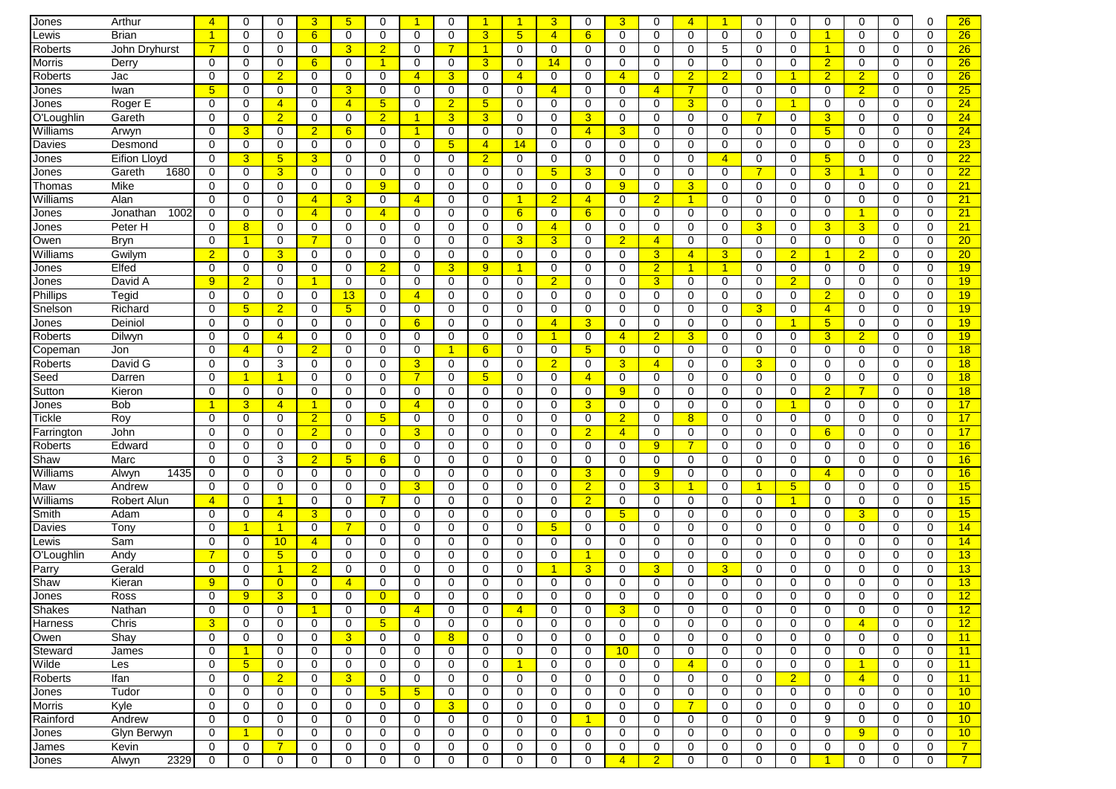| Jones             | Arthur           | $\overline{4}$       | 0                    | $\mathbf 0$          | 3                | 5 <sub>5</sub>  | $\Omega$         | -1                   | $\mathbf 0$    |                | -1                   | 3                             | $\Omega$       | $\overline{3}$             | $\mathbf 0$      | Δ              | -1             | $\mathbf 0$                | $\Omega$            | $\mathbf 0$          | $\mathbf 0$          | $\mathbf 0$ | 0           | 26              |
|-------------------|------------------|----------------------|----------------------|----------------------|------------------|-----------------|------------------|----------------------|----------------|----------------|----------------------|-------------------------------|----------------|----------------------------|------------------|----------------|----------------|----------------------------|---------------------|----------------------|----------------------|-------------|-------------|-----------------|
| Lewis             | Brian            | $\blacktriangleleft$ | 0                    | 0                    | 6                | 0               | 0                | $\Omega$             | $\Omega$       | 3              | 5 <sub>5</sub>       | $\overline{4}$                | 6              | 0                          | 0                | 0              | $\mathbf 0$    | 0                          | $\Omega$            | $\blacktriangleleft$ | 0                    | 0           | 0           | 26              |
| Roberts           | John Dryhurst    | $\overline{7}$       | 0                    | $\mathbf 0$          | 0                | 3               | $\overline{2}$   | $\Omega$             | $\overline{7}$ | 1              | $\mathbf 0$          | 0                             | 0              | $\mathbf 0$                | $\mathbf 0$      | 0              | 5              | $\mathbf 0$                | 0                   | $\blacktriangleleft$ | 0                    | $\mathbf 0$ | $\mathbf 0$ | 26              |
| Morris            | Derry            | 0                    | 0                    | 0                    | $6 \overline{6}$ | 0               | 1                | 0                    | 0              | 3              | 0                    | 14                            | 0              | 0                          | 0                | 0              | 0              | 0                          | 0                   | $\overline{2}$       | 0                    | 0           | 0           | 26              |
| Roberts           | Jac              | $\Omega$             | 0                    | $\overline{2}$       | 0                | 0               | 0                | $\overline{4}$       | 3              | 0              | $\overline{4}$       | 0                             | $\Omega$       | $\overline{4}$             | $\Omega$         | $\overline{2}$ | $\overline{2}$ | $\Omega$                   |                     | $\overline{2}$       | $\overline{2}$       | $\Omega$    | 0           | 26              |
| Jones             | Iwan             | 5                    | 0                    | $\mathbf 0$          | $\mathbf 0$      | 3               | $\mathbf 0$      | 0                    | $\mathbf 0$    | 0              | $\mathbf 0$          | $\overline{4}$                | $\Omega$       | 0                          | $\overline{4}$   | $\overline{7}$ | 0              | $\mathbf 0$                | $\mathbf 0$         | $\mathbf 0$          | $\overline{2}$       | $\mathbf 0$ | $\mathbf 0$ | 25              |
| Jones             | Roger E          | 0                    | 0                    | $\overline{4}$       | 0                | $\overline{4}$  | 5 <sup>5</sup>   | 0                    | $\overline{2}$ | 5              | 0                    | 0                             | 0              | 0                          | 0                | 3              | 0              | 0                          |                     | 0                    | 0                    | 0           | 0           | 24              |
| O'Loughlin        | Gareth           | $\mathbf 0$          | 0                    | $\overline{2}$       | 0                | 0               | $\overline{2}$   | -1                   | 3              | 3              | 0                    | 0                             | 3              | 0                          | 0                | 0              | 0              | $\overline{7}$             | $\mathbf 0$         | 3                    | 0                    | 0           | $\mathbf 0$ | 24              |
| Williams          | Arwyn            | $\mathbf 0$          | 3                    | 0                    | $\overline{2}$   | 6               | $\mathbf 0$      | $\blacktriangleleft$ | $\mathbf 0$    | 0              | 0                    | $\mathbf 0$                   | $\overline{4}$ | 3                          | $\mathbf 0$      | 0              | $\mathbf 0$    | $\mathbf 0$                | 0                   | $5\phantom{.0}$      | $\mathbf 0$          | $\mathbf 0$ | $\mathbf 0$ | 24              |
| Davies            | Desmond          | $\Omega$             | 0                    | 0                    | 0                | 0               | 0                | $\Omega$             | 5              | 4              | 14                   | 0                             | 0              | 0                          | $\mathbf 0$      | 0              | 0              | 0                          | 0                   | $\mathbf 0$          | 0                    | 0           | 0           | 23              |
| Jones             | Eifion Lloyd     | 0                    | 3                    | 5                    | 3                | 0               | 0                | 0                    | 0              | $\overline{2}$ | 0                    | 0                             | 0              | 0                          | 0                | 0              | $\overline{4}$ | 0                          | 0                   | 5                    | 0                    | 0           | $\mathbf 0$ | 22              |
| Jones             | Gareth<br>1680   | 0                    | 0                    | $\overline{3}$       | 0                | 0               | 0                | 0                    | 0              | 0              | $\mathbf 0$          | 5 <sup>5</sup>                | 3              | 0                          | $\mathbf 0$      | $\mathbf 0$    | 0              | 7                          | 0                   | 3                    | 1                    | 0           | 0           | $\overline{22}$ |
| Thomas            | Mike             | $\Omega$             | 0                    | $\Omega$             | $\Omega$         | 0               | 9                | $\Omega$             | 0              | $\Omega$       | $\Omega$             | $\mathbf 0$                   | $\Omega$       | 9                          | $\Omega$         | 3              | $\Omega$       | $\Omega$                   | $\Omega$            | $\Omega$             | $\Omega$             | $\Omega$    | $\Omega$    | 21              |
| Williams          | Alan             | $\Omega$             | 0                    | 0                    | $\overline{4}$   | 3               | 0                | $\overline{4}$       | 0              | $\Omega$       | $\blacktriangleleft$ | $\overline{2}$                | $\overline{4}$ | 0                          | $\overline{2}$   | $\mathbf{1}$   | 0              | $\mathbf 0$                | 0                   | $\Omega$             | $\mathbf 0$          | $\mathbf 0$ | $\mathbf 0$ | $\overline{21}$ |
| Jones             | 1002<br>Jonathan | 0                    | 0                    | 0                    | $\overline{4}$   | 0               | $\overline{4}$   | 0                    | 0              | 0              | $6^{\circ}$          | 0                             | 6              | 0                          | 0                | 0              | 0              | 0                          | 0                   | 0                    | $\blacktriangleleft$ | 0           | 0           | 21              |
|                   | Peter H          | 0                    | 8                    | 0                    | 0                | 0               | 0                | 0                    | $\mathbf 0$    | 0              | 0                    | $\overline{4}$                | 0              | $\mathbf 0$                | $\mathbf 0$      | 0              | $\mathbf 0$    | 3                          | 0                   | 3                    | 3                    | $\mathbf 0$ | $\mathbf 0$ | 21              |
| Jones<br>Owen     | Bryn             | $\mathbf 0$          | 1                    | $\mathbf 0$          | 7                | 0               | 0                | $\mathbf 0$          | $\mathbf 0$    | 0              | $\overline{3}$       | 3                             | 0              | $\overline{2}$             | $\overline{4}$   | 0              | $\mathbf 0$    | $\mathbf 0$                | $\mathbf 0$         | $\mathbf 0$          | $\mathbf 0$          | 0           | $\Omega$    | 20              |
| Williams          | Gwilym           | $\overline{2}$       | 0                    | 3                    | 0                | 0               | 0                | $\mathbf 0$          | $\mathbf 0$    | 0              | 0                    | 0                             | 0              | $\mathbf 0$                | $\overline{3}$   | $\overline{4}$ | 3              | $\mathbf 0$                | $\overline{2}$      | 1                    | $\overline{2}$       | 0           | $\Omega$    | 20              |
|                   | Elfed            | 0                    | 0                    | 0                    | 0                | $\Omega$        | $\overline{2}$   | 0                    |                | 9              | -1                   | 0                             | $\Omega$       | $\mathbf 0$                | $\overline{2}$   | $\overline{1}$ | $\overline{1}$ | 0                          |                     | 0                    | 0                    | 0           | 0           | 19              |
| Jones             |                  | $\overline{9}$       |                      | $\Omega$             | -1               | $\Omega$        |                  | $\Omega$             | 3<br>$\Omega$  | $\Omega$       | $\Omega$             |                               | $\Omega$       |                            |                  | $\Omega$       | $\Omega$       |                            | 0                   | $\Omega$             |                      | $\Omega$    | $\Omega$    | 19              |
| Jones<br>Phillips | David A<br>Tegid | 0                    | $\overline{2}$<br>0  | 0                    | 0                | 13              | 0<br>0           | $\overline{4}$       | 0              | 0              | $\mathbf 0$          | $\overline{2}$<br>$\mathbf 0$ | 0              | $\mathbf 0$<br>$\mathbf 0$ | 3<br>$\mathbf 0$ | 0              | 0              | $\mathbf 0$<br>$\mathbf 0$ | $\overline{2}$<br>0 | $\overline{2}$       | 0<br>0               | 0           | 0           | 19              |
|                   | Richard          |                      |                      |                      |                  |                 |                  |                      |                |                |                      |                               |                |                            |                  |                |                |                            |                     |                      |                      |             |             |                 |
| Snelson           |                  | $\Omega$             | $5\phantom{.0}$      | $\overline{2}$       | 0                | $5\phantom{.0}$ | 0                | $\Omega$             | 0              | 0              | 0                    | 0                             | $\Omega$       | $\mathbf 0$                | 0                | $\Omega$       | 0              | 3                          | $\Omega$<br>-1      | $\overline{4}$       | 0                    | 0           | 0           | 19              |
| Jones             | Deiniol          | 0                    | 0                    | 0                    | 0                | 0               | 0                | 6                    | 0              | 0              | $\mathbf 0$          | $\overline{4}$                | 3              | $\mathbf 0$                | $\mathbf 0$      | 0              | 0              | 0                          |                     | $5\overline{)}$      | 0                    | 0           | 0           | 19              |
| Roberts           | Dilwyn           | $\Omega$             | $\mathbf 0$          | $\overline{4}$       | $\mathbf 0$      | 0               | $\mathbf 0$      | 0                    | $\mathbf 0$    | 0              | $\mathbf 0$          | $\blacktriangleleft$          | 0              | $\overline{4}$             | $\overline{2}$   | 3              | 0              | $\mathbf 0$                | $\mathbf 0$         | 3                    | $\overline{2}$       | $\mathbf 0$ | $\mathbf 0$ | 19              |
| Copeman           | Jon              | $\mathbf 0$          | $\overline{4}$       | 0                    | $\overline{2}$   | 0               | 0                | $\mathbf 0$          | 1              | $6\phantom{1}$ | $\mathbf 0$          | $\mathbf 0$                   | 5              | 0                          | $\mathbf 0$      | 0              | 0              | $\mathbf 0$                | 0                   | $\mathbf 0$          | $\mathbf 0$          | 0           | $\Omega$    | 18              |
| Roberts           | David G          | 0                    | 0                    | 3                    | 0                | 0               | 0                | 3                    | $\mathbf 0$    | 0              | 0                    | $\overline{2}$                | 0              | 3                          | $\overline{4}$   | 0              | 0              | 3                          | 0                   | 0                    | 0                    | 0           | $\mathbf 0$ | 18              |
| Seed              | Darren           | 0                    | 1                    | -1                   | $\mathbf 0$      | 0               | 0                | $\overline{7}$       | $\mathbf 0$    | 5              | $\mathbf 0$          | $\mathbf 0$                   | $\overline{4}$ | $\mathbf 0$                | $\mathbf 0$      | $\mathbf 0$    | $\mathbf 0$    | $\mathbf 0$                | 0                   | $\mathbf 0$          | $\mathbf 0$          | $\mathbf 0$ | $\mathbf 0$ | 18              |
| Sutton            | Kieron           | 0                    | 0                    | 0                    | 0                | 0               | 0                | 0                    | 0              | 0              | $\mathbf 0$          | 0                             | $\Omega$       | 9                          | 0                | 0              | $\Omega$       | 0                          | 0                   | $\overline{2}$       | $\overline{7}$       | 0           | 0           | 18              |
| Jones             | <b>Bob</b>       | $\blacktriangleleft$ | 3                    | $\overline{4}$       | $\mathbf{1}$     | 0               | 0                | $\overline{4}$       | 0              | 0              | 0                    | 0                             | 3              | 0                          | 0                | 0              | 0              | 0                          | -1                  | 0                    | 0                    | 0           | 0           | 17              |
| Tickle            | Roy              | 0                    | 0                    | 0                    | $\overline{2}$   | 0               | 5 <sub>5</sub>   | 0                    | 0              | $\Omega$       | $\mathbf 0$          | $\mathbf 0$                   | 0              | $\overline{2}$             | $\mathbf 0$      | 8              | 0              | 0                          | 0                   | 0                    | 0                    | $\mathbf 0$ | 0           | 17              |
| Farrington        | John             | $\Omega$             | $\Omega$             | 0                    | $\overline{2}$   | $\Omega$        | 0                | 3                    | 0              | $\Omega$       | $\Omega$             | $\Omega$                      | $\overline{2}$ | $\overline{4}$             | $\mathbf 0$      | 0              | 0              | $\Omega$                   | $\Omega$            | 6                    | $\Omega$             | 0           | $\Omega$    | 17              |
| Roberts           | Edward           | 0                    | 0                    | $\mathbf 0$          | 0                | 0               | 0                | 0                    | 0              | 0              | 0                    | 0                             | 0              | $\mathbf 0$                | 9                | $\overline{7}$ | 0              | $\mathbf 0$                | 0                   | $\mathbf 0$          | 0                    | $\mathbf 0$ | $\mathbf 0$ | 16              |
| Shaw              | Marc             | 0                    | 0                    | 3                    | $\overline{2}$   | 5               | $6 \overline{6}$ | 0                    | 0              | 0              | 0                    | 0                             | 0              | $\mathbf 0$                | $\mathbf 0$      | 0              | 0              | 0                          | 0                   | 0                    | 0                    | 0           | 0           | 16              |
| Williams          | 1435<br>Alwyn    | 0                    | 0                    | 0                    | $\mathbf 0$      | 0               | 0                | $\mathbf 0$          | $\mathbf 0$    | 0              | 0                    | $\mathbf 0$                   | 3              | $\mathbf 0$                | 9                | 0              | 0              | $\mathbf 0$                | 0                   | $\overline{4}$       | 0                    | 0           | $\mathbf 0$ | 16              |
| Maw               | Andrew           | $\mathbf 0$          | 0                    | $\mathbf 0$          | $\mathbf 0$      | 0               | $\mathbf 0$      | 3                    | $\mathbf 0$    | $\Omega$       | $\mathbf 0$          | $\mathbf 0$                   | $\overline{2}$ | 0                          | $\overline{3}$   |                | 0              | -1                         | 5 <sup>5</sup>      | $\mathbf 0$          | $\mathbf 0$          | 0           | $\mathbf 0$ | 15              |
| Williams          | Robert Alun      | $\overline{4}$       | 0                    | -1                   | 0                | 0               |                  | $\Omega$             | 0              | 0              | 0                    | 0                             | $\overline{2}$ | 0                          | 0                | 0              | 0              | $\mathbf 0$                | -1                  | 0                    | 0                    | 0           | $\mathbf 0$ | 15              |
| Smith             | Adam             | 0                    | 0                    | $\overline{4}$       | 3                | 0               | 0                | $\Omega$             | 0              | $\Omega$       | $\mathbf 0$          | 0                             | 0              | 5                          | $\mathbf 0$      | $\mathbf 0$    | $\Omega$       | 0                          | 0                   | $\Omega$             | 3                    | 0           | 0           | 15              |
| Davies            | Tony             | $\Omega$             | $\blacktriangleleft$ | -1                   | 0                | $\overline{7}$  | $\mathbf 0$      | $\Omega$             | 0              | $\Omega$       | $\Omega$             | 5 <sup>5</sup>                | $\Omega$       | 0                          | 0                | 0              | $\Omega$       | $\mathbf 0$                | $\Omega$            | $\Omega$             | 0                    | 0           | $\Omega$    | 14              |
| Lewis             | Sam              | 0                    | 0                    | 10 <sup>°</sup>      | $\overline{4}$   | 0               | 0                | $\Omega$             | 0              | 0              | $\mathbf 0$          | $\mathbf 0$                   | 0              | $\mathbf 0$                | $\mathbf 0$      | 0              | 0              | 0                          | 0                   | 0                    | 0                    | 0           | 0           | 14              |
| O'Loughlin        | Andy             | $\overline{7}$       | 0                    | $5\phantom{.0}$      | 0                | 0               | 0                | $\Omega$             | 0              | $\Omega$       | 0                    | 0                             | 1              | 0                          | $\mathbf 0$      | $\Omega$       | 0              | 0                          | $\Omega$            | 0                    | 0                    | 0           | $\Omega$    | 13              |
| Parry             | Gerald           | 0                    | 0                    | $\blacktriangleleft$ | $\overline{2}$   | 0               | 0                | 0                    | 0              | 0              | 0                    | $\blacktriangleleft$          | 3              | 0                          | $\overline{3}$   | 0              | 3              | 0                          | 0                   | 0                    | 0                    | 0           | 0           | 13              |
| Shaw              | Kieran           | 9                    | 0                    | $\overline{0}$       | $\mathbf 0$      | $\overline{4}$  | 0                | 0                    | $\mathbf 0$    | $\Omega$       | 0                    | $\mathbf 0$                   | $\Omega$       | 0                          | $\mathbf 0$      | 0              | 0              | $\mathbf 0$                | $\Omega$            | $\mathbf 0$          | $\mathbf 0$          | 0           | $\mathbf 0$ | 13              |
| Jones             | Ross             | $\Omega$             | 9                    | 3                    | $\Omega$         | $\Omega$        | $\overline{0}$   | $\Omega$             | $\Omega$       | U              | $\Omega$             | $\Omega$                      | $\Omega$       | 0                          | $\Omega$         | $\Omega$       | $\Omega$       | $\Omega$                   | $\Omega$            | $\Omega$             | $\Omega$             | 0           | $\Omega$    | 12              |
| Shakes            | Nathan           | 0                    | 0                    | 0                    |                  | 0               | 0                | 4                    | 0              | 0              | 4                    | 0                             | 0              | 3                          | $\bf{0}$         | 0              | 0              | $\bf{0}$                   | 0                   | 0                    | $\bf{0}$             | 0           | 0           | <u>12</u>       |
| Harness           | Chris            | 3                    | $\mathbf 0$          | $\mathbf 0$          | 0                | $\mathbf 0$     | 5 <sub>5</sub>   | $\mathbf 0$          | $\mathbf 0$    | 0              | $\mathbf 0$          | $\mathbf 0$                   | 0              | $\mathbf 0$                | $\mathbf 0$      | 0              | 0              | $\mathbf 0$                | $\mathbf 0$         | $\mathbf 0$          | $\overline{4}$       | $\mathbf 0$ | 0           | 12              |
| Owen              | Shay             | $\mathbf 0$          | 0                    | 0                    | 0                | 3               | 0                | 0                    | 8              | 0              | 0                    | 0                             | 0              | 0                          | 0                | 0              | $\mathbf 0$    | 0                          | 0                   | 0                    | $\mathbf 0$          | 0           | 0           | 11              |
| Steward           | James            | 0                    | $\mathbf{1}$         | 0                    | 0                | 0               | 0                | 0                    | 0              | 0              | 0                    | 0                             | 0              | 10                         | 0                | 0              | 0              | 0                          | 0                   | 0                    | 0                    | 0           | 0           | 11              |
| Wilde             | Les              | 0                    | 5 <sup>5</sup>       | $\mathbf 0$          | $\mathbf{0}$     | $\mathbf 0$     | 0                | 0                    | $\mathbf 0$    | 0              | $\blacktriangleleft$ | $\mathbf 0$                   | 0              | 0                          | $\mathbf 0$      | $\overline{4}$ | 0              | $\mathbf 0$                | 0                   | $\mathbf 0$          | $\mathbf{1}$         | $\mathbf 0$ | $\mathbf 0$ | 11              |
| Roberts           | Ifan             | $\mathbf 0$          | $\mathbf 0$          | $\overline{2}$       | $\mathbf 0$      | $\overline{3}$  | $\mathbf 0$      | $\mathbf 0$          | $\mathbf 0$    | $\mathbf 0$    | $\mathbf 0$          | $\mathbf 0$                   | 0              | $\mathbf 0$                | $\mathbf 0$      | $\mathbf 0$    | $\mathbf 0$    | $\mathbf 0$                | $\overline{2}$      | $\mathbf 0$          | $\overline{4}$       | $\mathbf 0$ | $\mathbf 0$ | 11              |
| Jones             | Tudor            | 0                    | 0                    | 0                    | 0                | $\mathbf 0$     | 5 <sub>5</sub>   | 5 <sub>5</sub>       | 0              | 0              | 0                    | 0                             | 0              | 0                          | 0                | 0              | 0              | $\mathbf 0$                | 0                   | 0                    | 0                    | 0           | 0           | 10              |
| Morris            | Kyle             | 0                    | 0                    | 0                    | 0                | 0               | 0                | 0                    | 3              | 0              | 0                    | $\mathbf 0$                   | 0              | $\mathbf 0$                | $\mathbf 0$      | $\overline{7}$ | 0              | $\mathbf 0$                | 0                   | 0                    | 0                    | 0           | 0           | 10              |
| Rainford          | Andrew           | $\mathbf 0$          | 0                    | 0                    | 0                | 0               | 0                | 0                    | $\mathbf 0$    | 0              | 0                    | $\mathbf 0$                   | $\mathbf{1}$   | $\mathbf 0$                | $\mathbf 0$      | 0              | 0              | $\mathbf 0$                | 0                   | 9                    | $\mathbf 0$          | 0           | 0           | 10              |
| Jones             | Glyn Berwyn      | $\mathbf 0$          | $\overline{1}$       | 0                    | 0                | $\mathbf 0$     | 0                | 0                    | $\mathbf 0$    | 0              | 0                    | 0                             | 0              | $\mathbf 0$                | $\mathbf 0$      | 0              | 0              | $\mathbf 0$                | 0                   | 0                    | 9                    | 0           | 0           | 10              |
| James             | Kevin            | 0                    | 0                    | 7                    | 0                | 0               | 0                | 0                    | 0              | 0              | 0                    | 0                             | 0              | 0                          | 0                | 0              | 0              | 0                          | 0                   | 0                    | 0                    | 0           | 0           | 7 <sup>7</sup>  |
| Jones             | 2329<br>Alwyn    | 0                    | 0                    | 0                    | 0                | 0               | 0                | 0                    | 0              | 0              | 0                    | 0                             | 0              | $\overline{4}$             | $\overline{2}$   | 0              | 0              | 0                          | 0                   | $\mathbf{1}$         | 0                    | 0           | 0           | $\overline{7}$  |